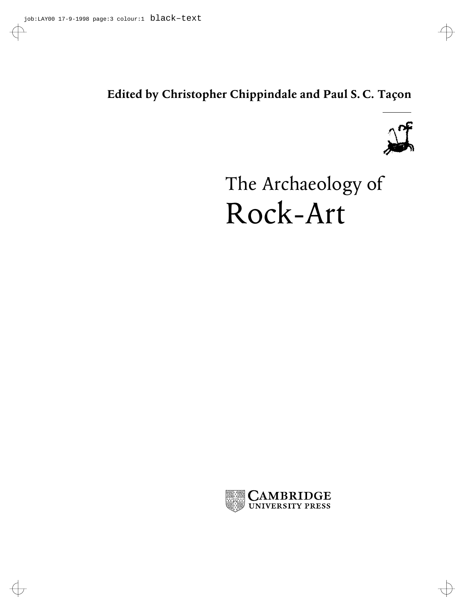### **Edited by Christopher Chippindale and Paul S. C. Taçon**



# The Archaeology of Rock-Art

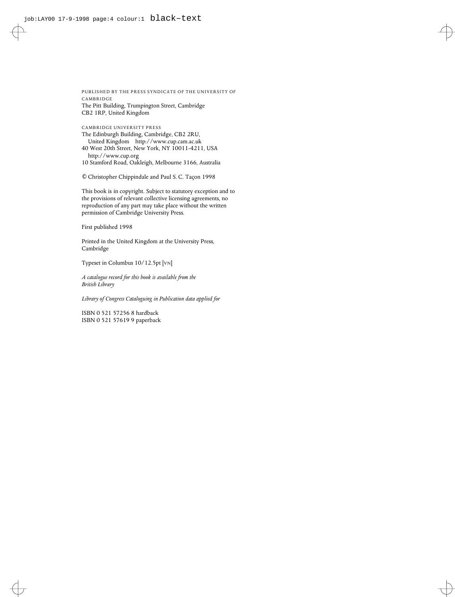PUBLISHED BY THE PRESS SYNDICATE OF THE UNIVERSITY OF CAMBRIDGE The Pitt Building, Trumpington Street, Cambridge CB2 1RP, United Kingdom

CAMBRIDGE UNIVERSITY PRESS The Edinburgh Building, Cambridge, CB2 2RU, United Kingdom http://www.cup.cam.ac.uk 40 West 20th Street, New York, NY 10011-4211, USA http://www.cup.org

10 Stamford Road, Oakleigh, Melbourne 3166, Australia

© Christopher Chippindale and Paul S. C. Taçon 1998

This book is in copyright. Subject to statutory exception and to the provisions of relevant collective licensing agreements, no reproduction of any part may take place without the written permission of Cambridge University Press.

First published 1998

Printed in the United Kingdom at the University Press, Cambridge

Typeset in Columbus 10/12.5pt [VN]

*A catalogue record for this book is available from the British Library*

*Library of Congress Cataloguing in Publication data applied for*

ISBN 0 521 57256 8 hardback ISBN 0 521 57619 9 paperback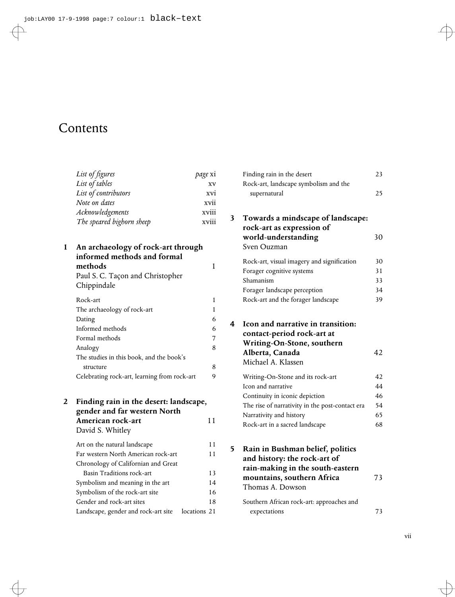## Contents

| List of figures           | page xi |
|---------------------------|---------|
| List of tables            | XV      |
| List of contributors      | xvi     |
| Note on dates             | xvii    |
| Acknowledgements          | xviii   |
| The speared bighorn sheep | xviii   |

| 1 | An archaeology of rock-art through<br>informed methods and formal<br>methods<br>Paul S. C. Taçon and Christopher<br>Chippindale |   |
|---|---------------------------------------------------------------------------------------------------------------------------------|---|
|   | Rock-art                                                                                                                        | 1 |
|   | The archaeology of rock-art                                                                                                     | 1 |
|   | Dating                                                                                                                          | 6 |
|   | Informed methods                                                                                                                | 6 |
|   | Formal methods                                                                                                                  | 7 |
|   | Analogy                                                                                                                         | 8 |
|   | The studies in this book, and the book's                                                                                        |   |
|   | structure                                                                                                                       | 8 |
|   | Celebrating rock-art, learning from rock-art                                                                                    | 9 |
|   |                                                                                                                                 |   |

| 2 Finding rain in the desert: landscape, |    |
|------------------------------------------|----|
| gender and far western North             |    |
| American rock-art                        | 11 |

| David S. Whitley                    |              |    |
|-------------------------------------|--------------|----|
| Art on the natural landscape        |              | 11 |
| Far western North American rock-art |              | 11 |
| Chronology of Californian and Great |              |    |
| Basin Traditions rock-art           |              | 13 |
| Symbolism and meaning in the art    |              | 14 |
| Symbolism of the rock-art site      |              | 16 |
| Gender and rock-art sites           |              | 18 |
| Landscape, gender and rock-art site | locations 21 |    |

|   | Finding rain in the desert<br>Rock-art, landscape symbolism and the                                              | 23 |
|---|------------------------------------------------------------------------------------------------------------------|----|
|   | supernatural                                                                                                     | 25 |
| 3 | Towards a mindscape of landscape:<br>rock-art as expression of                                                   |    |
|   | world-understanding<br>Sven Ouzman                                                                               | 30 |
|   | Rock-art, visual imagery and signification                                                                       | 30 |
|   | Forager cognitive systems                                                                                        | 31 |
|   | Shamanism                                                                                                        | 33 |
|   | Forager landscape perception                                                                                     | 34 |
|   | Rock-art and the forager landscape                                                                               | 39 |
| 4 | Icon and narrative in transition:<br>contact-period rock-art at<br>Writing-On-Stone, southern<br>Alberta, Canada | 42 |
|   | Michael A. Klassen                                                                                               |    |
|   | Writing-On-Stone and its rock-art                                                                                | 42 |
|   | Icon and narrative                                                                                               | 44 |
|   | Continuity in iconic depiction                                                                                   | 46 |
|   | The rise of narrativity in the post-contact era                                                                  | 54 |
|   | Narrativity and history                                                                                          | 65 |
|   | Rock-art in a sacred landscape                                                                                   | 68 |
| 5 | Rain in Bushman belief, politics<br>and history: the rock-art of                                                 |    |
|   | rain-making in the south-eastern<br>mountains, southern Africa<br>Thomas A. Dowson                               | 73 |
|   | Southern African rock-art: approaches and<br>expectations                                                        | 73 |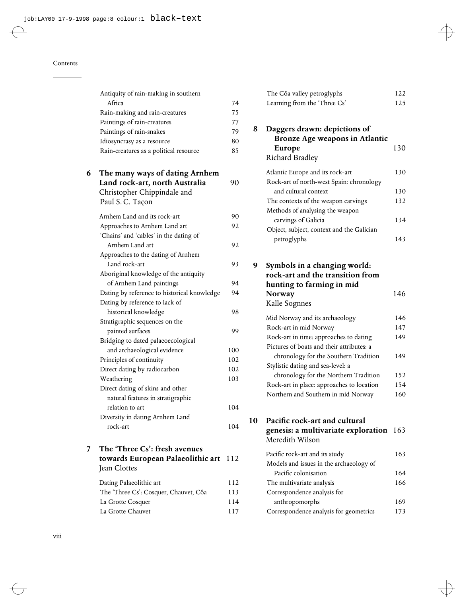|   | Antiquity of rain-making in southern<br>Africa                                                  | 74  |
|---|-------------------------------------------------------------------------------------------------|-----|
|   | Rain-making and rain-creatures                                                                  | 75  |
|   | Paintings of rain-creatures                                                                     | 77  |
|   | Paintings of rain-snakes                                                                        | 79  |
|   |                                                                                                 | 80  |
|   | Idiosyncrasy as a resource<br>Rain-creatures as a political resource                            | 85  |
|   |                                                                                                 |     |
| 6 | The many ways of dating Arnhem<br>Land rock-art, north Australia<br>Christopher Chippindale and | 90  |
|   | Paul S.C. Taçon                                                                                 |     |
|   | Arnhem Land and its rock-art                                                                    | 90  |
|   | Approaches to Arnhem Land art<br>'Chains' and 'cables' in the dating of                         | 92  |
|   | Arnhem Land art                                                                                 | 92  |
|   | Approaches to the dating of Arnhem                                                              |     |
|   | Land rock-art                                                                                   | 93  |
|   | Aboriginal knowledge of the antiquity                                                           |     |
|   | of Arnhem Land paintings                                                                        | 94  |
|   | Dating by reference to historical knowledge                                                     | 94  |
|   | Dating by reference to lack of                                                                  |     |
|   | historical knowledge                                                                            | 98  |
|   | Stratigraphic sequences on the                                                                  |     |
|   | painted surfaces                                                                                | 99  |
|   | Bridging to dated palaeoecological                                                              |     |
|   | and archaeological evidence                                                                     | 100 |
|   | Principles of continuity                                                                        | 102 |
|   | Direct dating by radiocarbon                                                                    | 102 |
|   | Weathering                                                                                      | 103 |
|   | Direct dating of skins and other                                                                |     |
|   | natural features in stratigraphic                                                               |     |
|   | relation to art                                                                                 | 104 |
|   | Diversity in dating Arnhem Land                                                                 |     |
|   | rock-art                                                                                        | 104 |
|   |                                                                                                 |     |

#### **7 The 'Three Cs': fresh avenues towards European Palaeolithic art** 112 Jean Clottes

| Dating Palaeolithic art               | 112 |
|---------------------------------------|-----|
| The 'Three Cs': Cosquer, Chauvet, Côa | 113 |
| La Grotte Cosquer                     | 114 |
| La Grotte Chauvet                     | 117 |

|   | The Côa valley petroglyphs                                                                                               | 122 |
|---|--------------------------------------------------------------------------------------------------------------------------|-----|
|   | Learning from the 'Three Cs'                                                                                             | 125 |
| 8 | Daggers drawn: depictions of<br>Bronze Age weapons in Atlantic                                                           |     |
|   | Europe                                                                                                                   | 130 |
|   | Richard Bradley                                                                                                          |     |
|   | Atlantic Europe and its rock-art                                                                                         | 130 |
|   | Rock-art of north-west Spain: chronology                                                                                 |     |
|   | and cultural context                                                                                                     | 130 |
|   | The contexts of the weapon carvings                                                                                      | 132 |
|   | Methods of analysing the weapon                                                                                          |     |
|   | carvings of Galicia                                                                                                      | 134 |
|   | Object, subject, context and the Galician                                                                                |     |
|   | petroglyphs                                                                                                              | 143 |
| 9 | Symbols in a changing world:<br>rock-art and the transition from<br>hunting to farming in mid<br>Norway<br>Kalle Sognnes | 146 |
|   | Mid Norway and its archaeology                                                                                           | 146 |
|   | Rock-art in mid Norway                                                                                                   | 147 |
|   | Rock-art in time: approaches to dating<br>Pictures of boats and their attributes: a                                      | 149 |
|   | chronology for the Southern Tradition<br>Stylistic dating and sea-level: a                                               | 149 |
|   | chronology for the Northern Tradition                                                                                    | 152 |
|   | Rock-art in place: approaches to location                                                                                | 154 |

#### 10 Pacific rock-art and cultural **genesis: a multivariate exploration** 163 Meredith Wilson

Northern and Southern in mid Norway 160

| Pacific rock-art and its study          | 163 |
|-----------------------------------------|-----|
| Models and issues in the archaeology of |     |
| Pacific colonisation                    | 164 |
| The multivariate analysis               | 166 |
| Correspondence analysis for             |     |
| anthropomorphs                          | 169 |
| Correspondence analysis for geometrics  | 173 |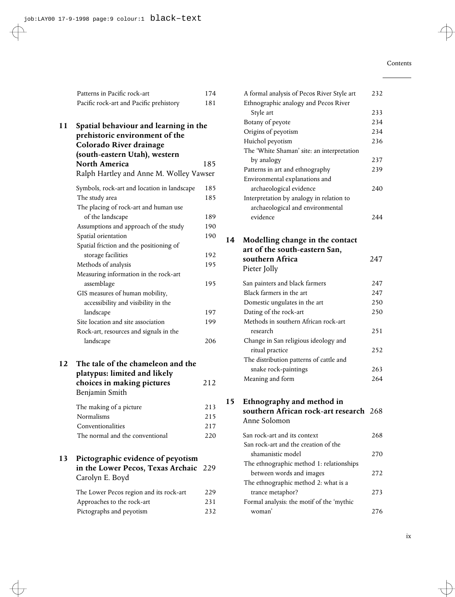|    | Patterns in Pacific rock-art                                                                                                                                | 174               |
|----|-------------------------------------------------------------------------------------------------------------------------------------------------------------|-------------------|
|    | Pacific rock-art and Pacific prehistory                                                                                                                     | 181               |
| 11 | Spatial behaviour and learning in the<br>prehistoric environment of the<br>Colorado River drainage<br>(south-eastern Utah), western<br><b>North America</b> | 185               |
|    | Ralph Hartley and Anne M. Wolley Vawser                                                                                                                     |                   |
|    | Symbols, rock-art and location in landscape<br>The study area<br>The placing of rock-art and human use<br>of the landscape                                  | 185<br>185<br>189 |
|    | Assumptions and approach of the study                                                                                                                       | 190               |
|    | Spatial orientation                                                                                                                                         | 190               |
|    | Spatial friction and the positioning of                                                                                                                     |                   |
|    | storage facilities                                                                                                                                          | 192               |
|    | Methods of analysis                                                                                                                                         | 195               |
|    | Measuring information in the rock-art                                                                                                                       |                   |
|    | assemblage                                                                                                                                                  | 195               |
|    | GIS measures of human mobility,<br>accessibility and visibility in the                                                                                      |                   |
|    | landscape                                                                                                                                                   | 197               |
|    | Site location and site association                                                                                                                          | 199               |
|    | Rock-art, resources and signals in the<br>landscape                                                                                                         | 206               |
| 12 | The tale of the chameleon and the<br>platypus: limited and likely                                                                                           |                   |
|    | choices in making pictures<br>Benjamin Smith                                                                                                                | 212               |
|    | The making of a picture                                                                                                                                     | 213               |
|    | Normalisms                                                                                                                                                  | 215               |
|    | Conventionalities                                                                                                                                           | 217               |
|    | The normal and the conventional                                                                                                                             | 220               |
| 13 | Pictographic evidence of peyotism<br>in the Lower Pecos, Texas Archaic<br>Carolyn E. Boyd                                                                   | 229               |
|    | The Lower Pecos region and its rock-art                                                                                                                     | 229               |
|    | Approaches to the rock-art                                                                                                                                  | 231               |
|    | Pictographs and peyotism                                                                                                                                    | 232               |

|    | A formal analysis of Pecos River Style art | 232 |
|----|--------------------------------------------|-----|
|    | Ethnographic analogy and Pecos River       |     |
|    | Style art                                  | 233 |
|    | Botany of peyote                           | 234 |
|    | Origins of peyotism                        | 234 |
|    | Huichol peyotism                           | 236 |
|    | The 'White Shaman' site: an interpretation |     |
|    | by analogy                                 | 237 |
|    | Patterns in art and ethnography            | 239 |
|    | Environmental explanations and             |     |
|    | archaeological evidence                    | 240 |
|    | Interpretation by analogy in relation to   |     |
|    | archaeological and environmental           |     |
|    | evidence                                   | 244 |
|    |                                            |     |
|    |                                            |     |
| 14 | Modelling change in the contact            |     |
|    | art of the south-eastern San,              |     |
|    | southern Africa                            | 247 |
|    | Pieter Jolly                               |     |
|    | San painters and black farmers             | 247 |
|    | Black farmers in the art                   | 247 |
|    | Domestic ungulates in the art              | 250 |
|    | Dating of the rock-art                     | 250 |
|    | Methods in southern African rock-art       |     |
|    | research                                   | 251 |
|    | Change in San religious ideology and       |     |
|    | ritual practice                            | 252 |
|    | The distribution patterns of cattle and    |     |
|    | snake rock-paintings                       | 263 |
|    | Meaning and form                           | 264 |
|    |                                            |     |
|    |                                            |     |
| 15 | Ethnography and method in                  |     |
|    | southern African rock-art research 268     |     |
|    | Anne Solomon                               |     |
|    | San rock-art and its context               | 268 |
|    | San rock-art and the creation of the       |     |
|    | shamanistic model                          | 270 |
|    | The ethnographic method 1: relationships   |     |
|    | between words and images                   | 272 |
|    | The ethnographic method 2: what is a       |     |
|    | trance metaphor?                           | 273 |
|    | Formal analysis: the motif of the 'mythic  |     |
|    | woman'                                     | 276 |
|    |                                            |     |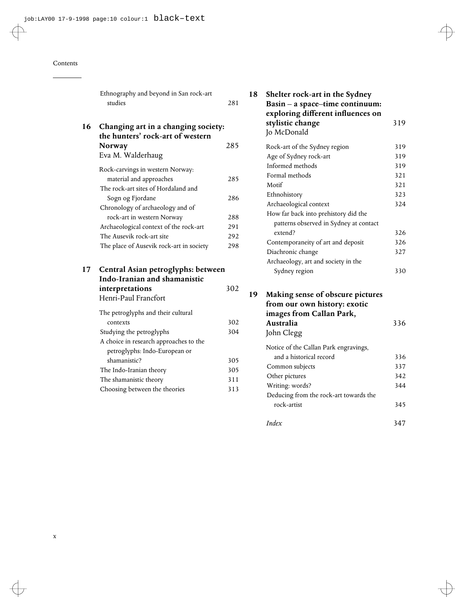#### Contents

|    | Ethnography and beyond in San rock-art<br>studies                                                      | 281 |
|----|--------------------------------------------------------------------------------------------------------|-----|
| 16 | Changing art in a changing society:<br>the hunters' rock-art of western<br>Norway<br>Eva M. Walderhaug | 285 |
|    | Rock-carvings in western Norway:<br>material and approaches<br>The rock-art sites of Hordaland and     | 285 |
|    | Sogn og Fjordane<br>Chronology of archaeology and of                                                   | 286 |
|    | rock-art in western Norway                                                                             | 288 |
|    | Archaeological context of the rock-art                                                                 | 291 |
|    | The Ausevik rock-art site                                                                              | 292 |
|    | The place of Ausevik rock-art in society                                                               | 298 |
| 17 | Central Asian petroglyphs: between<br>Indo-Iranian and shamanistic                                     |     |
|    | interpretations<br>Henri-Paul Francfort                                                                | 302 |
|    | The petroglyphs and their cultural                                                                     |     |
|    | contexts                                                                                               | 302 |
|    | Studying the petroglyphs                                                                               | 304 |
|    | A choice in research approaches to the                                                                 |     |
|    | petroglyphs: Indo-European or<br>shamanistic?                                                          | 305 |
|    | The Indo-Iranian theory                                                                                | 305 |
|    | The shamanistic theory                                                                                 | 311 |
|    | Choosing between the theories                                                                          | 313 |
|    |                                                                                                        |     |

| 18 | Shelter rock-art in the Sydney<br>Basin - a space-time continuum:<br>exploring different influences on |     |  |  |  |
|----|--------------------------------------------------------------------------------------------------------|-----|--|--|--|
|    | stylistic change<br>Jo McDonald                                                                        | 319 |  |  |  |
|    | Rock-art of the Sydney region                                                                          | 319 |  |  |  |
|    | Age of Sydney rock-art                                                                                 | 319 |  |  |  |
|    | Informed methods                                                                                       | 319 |  |  |  |
|    | Formal methods                                                                                         | 321 |  |  |  |
|    | Motif                                                                                                  | 321 |  |  |  |
|    | Ethnohistory                                                                                           | 323 |  |  |  |
|    | Archaeological context                                                                                 | 324 |  |  |  |
|    | How far back into prehistory did the                                                                   |     |  |  |  |
|    | patterns observed in Sydney at contact                                                                 |     |  |  |  |
|    | extend?                                                                                                | 326 |  |  |  |
|    | Contemporaneity of art and deposit                                                                     | 326 |  |  |  |
|    | Diachronic change                                                                                      | 327 |  |  |  |
|    | Archaeology, art and society in the                                                                    |     |  |  |  |
|    | Sydney region                                                                                          | 330 |  |  |  |
| 19 | Making sense of obscure pictures<br>from our own history: exotic<br>images from Callan Park,           |     |  |  |  |
|    | Australia                                                                                              | 336 |  |  |  |
|    | John Clegg                                                                                             |     |  |  |  |
|    | Notice of the Callan Park engravings,                                                                  |     |  |  |  |
|    | and a historical record                                                                                | 336 |  |  |  |
|    | Common subjects                                                                                        | 337 |  |  |  |
|    | Other pictures                                                                                         | 342 |  |  |  |
|    | Writing: words?                                                                                        | 344 |  |  |  |
|    | Deducing from the rock-art towards the                                                                 |     |  |  |  |
|    | rock-artist                                                                                            | 345 |  |  |  |
|    | Index                                                                                                  | 347 |  |  |  |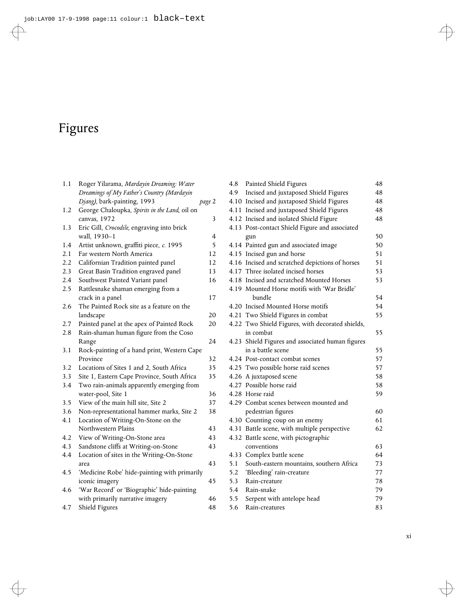# Figures

| 1.1 | Roger Yilarama, Mardayin Dreaming: Water      |                         |
|-----|-----------------------------------------------|-------------------------|
|     | Dreamings of My Father's Country (Mardayin    |                         |
|     | Djang), bark-painting, 1993                   | page 2                  |
| 1.2 | George Chaloupka, Spirits in the Land, oil on |                         |
|     | canvas, 1972                                  | $\overline{\mathbf{3}}$ |
| 1.3 | Eric Gill, Crocodile, engraving into brick    |                         |
|     | wall, 1930-1                                  | 4                       |
| 1.4 | Artist unknown, graffiti piece, c. 1995       | 5                       |
| 2.1 | Far western North America                     | 12                      |
| 2.2 | Californian Tradition painted panel           | 12                      |
| 2.3 | Great Basin Tradition engraved panel          | 13                      |
| 2.4 | Southwest Painted Variant panel               | 16                      |
| 2.5 | Rattlesnake shaman emerging from a            |                         |
|     | crack in a panel                              | 17                      |
| 2.6 | The Painted Rock site as a feature on the     |                         |
|     | landscape                                     | 20                      |
| 2.7 | Painted panel at the apex of Painted Rock     | 20                      |
| 2.8 | Rain-shaman human figure from the Coso        |                         |
|     | Range                                         | 24                      |
| 3.1 | Rock-painting of a hand print, Western Cape   |                         |
|     | Province                                      | 32                      |
| 3.2 | Locations of Sites 1 and 2, South Africa      | 35                      |
| 3.3 | Site 1, Eastern Cape Province, South Africa   | 35                      |
| 3.4 | Two rain-animals apparently emerging from     |                         |
|     | water-pool, Site 1                            | 36                      |
| 3.5 | View of the main hill site, Site 2            | 37                      |
| 3.6 | Non-representational hammer marks, Site 2     | 38                      |
| 4.1 | Location of Writing-On-Stone on the           |                         |
|     | Northwestern Plains                           | 43                      |
| 4.2 | View of Writing-On-Stone area                 | 43                      |
| 4.3 | Sandstone cliffs at Writing-on-Stone          | 43                      |
| 4.4 | Location of sites in the Writing-On-Stone     |                         |
|     | area                                          | 43                      |
| 4.5 | 'Medicine Robe' hide-painting with primarily  |                         |
|     | iconic imagery                                | 45                      |
| 4.6 | 'War Record' or 'Biographic' hide-painting    |                         |
|     | with primarily narrative imagery              | 46                      |
| 4.7 | Shield Figures                                | 48                      |

| 4.8           | Painted Shield Figures                           | 48 |
|---------------|--------------------------------------------------|----|
| 4.9           | Incised and juxtaposed Shield Figures            | 48 |
|               | 4.10 Incised and juxtaposed Shield Figures       | 48 |
|               | 4.11 Incised and juxtaposed Shield Figures       | 48 |
|               | 4.12 Incised and isolated Shield Figure          | 48 |
|               | 4.13 Post-contact Shield Figure and associated   |    |
|               | gun                                              | 50 |
|               | 4.14 Painted gun and associated image            | 50 |
|               | 4.15 Incised gun and horse                       | 51 |
|               | 4.16 Incised and scratched depictions of horses  | 51 |
|               | 4.17 Three isolated incised horses               | 53 |
|               | 4.18 Incised and scratched Mounted Horses        | 53 |
|               | 4.19 Mounted Horse motifs with 'War Bridle'      |    |
|               | bundle                                           | 54 |
|               | 4.20 Incised Mounted Horse motifs                | 54 |
|               | 4.21 Two Shield Figures in combat                | 55 |
|               | 4.22 Two Shield Figures, with decorated shields, |    |
|               | in combat                                        | 55 |
|               | 4.23 Shield Figures and associated human figures |    |
|               | in a battle scene                                | 55 |
|               | 4.24 Post-contact combat scenes                  | 57 |
|               | 4.25 Two possible horse raid scenes              | 57 |
|               | 4.26 A juxtaposed scene                          | 58 |
|               | 4.27 Possible horse raid                         | 58 |
|               | 4.28 Horse raid                                  | 59 |
|               | 4.29 Combat scenes between mounted and           |    |
|               | pedestrian figures                               | 60 |
|               | 4.30 Counting coup on an enemy                   | 61 |
|               | 4.31 Battle scene, with multiple perspective     | 62 |
|               | 4.32 Battle scene, with pictographic             |    |
|               | conventions                                      | 63 |
|               | 4.33 Complex battle scene                        | 64 |
| 5.1           | South-eastern mountains, southern Africa         | 73 |
| 5.2           | 'Bleeding' rain-creature                         | 77 |
| 5.3           | Rain-creature                                    | 78 |
| 5.4           | Rain-snake                                       | 79 |
| $5.5^{\circ}$ | Serpent with antelope head                       | 79 |
| 5.6           | Rain-creatures                                   | 83 |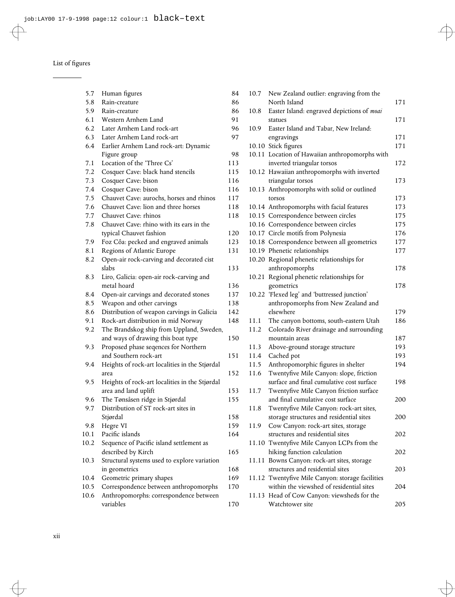| 5.7  | Human figures                                                      | 84         |
|------|--------------------------------------------------------------------|------------|
| 5.8  | Rain-creature                                                      | 86         |
| 5.9  | Rain-creature                                                      | 86         |
| 6.1  | Western Arnhem Land                                                | 91         |
| 6.2  | Later Arnhem Land rock-art                                         | 96         |
| 6.3  | Later Arnhem Land rock-art                                         | 97         |
| 6.4  | Earlier Arnhem Land rock-art: Dynamic                              |            |
|      | Figure group                                                       | 98         |
| 7.1  | Location of the 'Three Cs'                                         | 113        |
| 7.2  | Cosquer Cave: black hand stencils                                  | 115        |
| 7.3  | Cosquer Cave: bison                                                | 116        |
| 7.4  | Cosquer Cave: bison                                                | 116        |
| 7.5  | Chauvet Cave: aurochs, horses and rhinos                           | 117        |
| 7.6  | Chauvet Cave: lion and three horses                                | 118        |
| 7.7  | Chauvet Cave: rhinos                                               | 118        |
| 7.8  | Chauvet Cave: rhino with its ears in the                           | 120        |
| 7.9  | typical Chauvet fashion                                            | 123        |
| 8.1  | Foz Côa: pecked and engraved animals<br>Regions of Atlantic Europe | 131        |
| 8.2  | Open-air rock-carving and decorated cist                           |            |
|      | slabs                                                              | 133        |
| 8.3  | Liro, Galicia: open-air rock-carving and                           |            |
|      | metal hoard                                                        | 136        |
| 8.4  | Open-air carvings and decorated stones                             | 137        |
| 8.5  | Weapon and other carvings                                          | 138        |
| 8.6  | Distribution of weapon carvings in Galicia                         | 142        |
| 9.1  | Rock-art distribution in mid Norway                                | 148        |
| 9.2  | The Brandskog ship from Uppland, Sweden,                           |            |
|      | and ways of drawing this boat type                                 | 150        |
| 9.3  | Proposed phase seqences for Northern                               |            |
|      | and Southern rock-art                                              | 151        |
| 9.4  | Heights of rock-art localities in the Stjørdal                     |            |
|      | area                                                               | 152        |
| 9.5  | Heights of rock-art localities in the Stjørdal                     |            |
|      | area and land uplift                                               | 153        |
| 9.6  | The Tønsåsen ridge in Stjørdal                                     | 155        |
| 9.7  | Distribution of ST rock-art sites in                               |            |
| 9.8  | Stjørdal                                                           | 158<br>159 |
| 10.1 | Hegre VI<br>Pacific islands                                        | 164        |
| 10.2 | Sequence of Pacific island settlement as                           |            |
|      | described by Kirch                                                 | 165        |
| 10.3 | Structural systems used to explore variation                       |            |
|      | in geometrics                                                      | 168        |
| 10.4 | Geometric primary shapes                                           | 169        |
| 10.5 | Correspondence between anthropomorphs                              | 170        |
| 10.6 | Anthropomorphs: correspondence between                             |            |
|      | variables                                                          | 170        |

| 84  | 10.7  | New Zealand outlier: engraving from the                                             |     |
|-----|-------|-------------------------------------------------------------------------------------|-----|
| 86  |       | North Island                                                                        | 171 |
| 86  | 10.8  | Easter Island: engraved depictions of moai                                          |     |
| 91  |       | statues                                                                             | 171 |
| 96  | 10.9  | Easter Island and Tabar, New Ireland:                                               |     |
| 97  |       | engravings                                                                          | 171 |
|     |       | 10.10 Stick figures                                                                 | 171 |
| 98  |       | 10.11 Location of Hawaiian anthropomorphs with                                      |     |
| 113 |       | inverted triangular torsos                                                          | 172 |
| 115 |       | 10.12 Hawaiian anthropomorphs with inverted                                         |     |
| 116 |       | triangular torsos                                                                   | 173 |
| 116 |       | 10.13 Anthropomorphs with solid or outlined                                         |     |
| 117 |       | torsos                                                                              | 173 |
| 118 |       | 10.14 Anthropomorphs with facial features                                           | 173 |
| 118 |       | 10.15 Correspondence between circles                                                | 175 |
|     |       | 10.16 Correspondence between circles                                                | 175 |
| 120 |       | 10.17 Circle motifs from Polynesia                                                  | 176 |
| 123 |       | 10.18 Correspondence between all geometrics                                         | 177 |
| 131 |       | 10.19 Phenetic relationships                                                        | 177 |
|     |       | 10.20 Regional phenetic relationships for                                           |     |
| 133 |       | anthropomorphs                                                                      | 178 |
|     |       | 10.21 Regional phenetic relationships for                                           |     |
| 136 |       | geometrics                                                                          | 178 |
| 137 |       | 10.22 'Flexed leg' and 'buttressed junction'                                        |     |
| 138 |       | anthropomorphs from New Zealand and                                                 |     |
| 142 |       | elsewhere                                                                           | 179 |
| 148 | 11.1  | The canyon bottoms, south-eastern Utah                                              | 186 |
|     | 11.2  | Colorado River drainage and surrounding                                             |     |
| 150 |       | mountain areas                                                                      | 187 |
|     | 11.3  | Above-ground storage structure                                                      | 193 |
| 151 | 11.4  | Cached pot                                                                          | 193 |
|     | 11.5  | Anthropomorphic figures in shelter                                                  | 194 |
| 152 | 11.6  | Twentyfive Mile Canyon: slope, friction                                             |     |
|     |       | surface and final cumulative cost surface                                           | 198 |
| 153 | 11.7  | Twentyfive Mile Canyon friction surface                                             |     |
| 155 |       | and final cumulative cost surface                                                   | 200 |
| 158 | 11.8  | Twentyfive Mile Canyon: rock-art sites,<br>storage structures and residential sites | 200 |
| 159 | 11.9  | Cow Canyon: rock-art sites, storage                                                 |     |
| 164 |       | structures and residential sites                                                    | 202 |
|     |       | 11.10 Twentyfive Mile Canyon LCPs from the                                          |     |
| 165 |       | hiking function calculation                                                         | 202 |
|     |       | 11.11 Bowns Canyon: rock-art sites, storage                                         |     |
| 168 |       | structures and residential sites                                                    | 203 |
| 169 |       | 11.12 Twentyfive Mile Canyon: storage facilities                                    |     |
| 170 |       | within the viewshed of residential sites                                            | 204 |
|     | 11.13 | Head of Cow Canyon: viewsheds for the                                               |     |
| 170 |       | Watchtower site                                                                     | 205 |
|     |       |                                                                                     |     |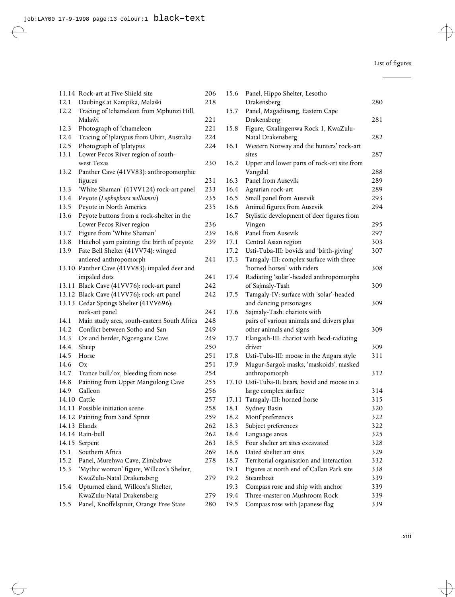|      | 11.14 Rock-art at Five Shield site            | 206 | 15.6 | Panel, Hippo Shelter, Lesotho                   |     |
|------|-----------------------------------------------|-----|------|-------------------------------------------------|-----|
| 12.1 | Daubings at Kampika, Malaŵi                   | 218 |      | Drakensberg                                     | 280 |
| 12.2 | Tracing of !chameleon from Mphunzi Hill,      |     | 15.7 | Panel, Magaditseng, Eastern Cape                |     |
|      | Malaŵi                                        | 221 |      | Drakensberg                                     | 281 |
| 12.3 | Photograph of !chameleon                      | 221 | 15.8 | Figure, Gxalingenwa Rock 1, KwaZulu-            |     |
| 12.4 | Tracing of !platypus from Ubirr, Australia    | 224 |      | Natal Drakensberg                               | 282 |
| 12.5 | Photograph of !platypus                       | 224 | 16.1 | Western Norway and the hunters' rock-art        |     |
| 13.1 | Lower Pecos River region of south-            |     |      | sites                                           | 287 |
|      | west Texas                                    | 230 | 16.2 | Upper and lower parts of rock-art site from     |     |
| 13.2 | Panther Cave (41VV83): anthropomorphic        |     |      | Vangdal                                         | 288 |
|      | figures                                       | 231 | 16.3 | Panel from Ausevik                              | 289 |
| 13.3 | 'White Shaman' (41VV124) rock-art panel       | 233 | 16.4 | Agrarian rock-art                               | 289 |
| 13.4 | Peyote (Lophophora williamsii)                | 235 | 16.5 | Small panel from Ausevik                        | 293 |
| 13.5 | Peyote in North America                       | 235 | 16.6 | Animal figures from Ausevik                     | 294 |
| 13.6 | Peyote buttons from a rock-shelter in the     |     | 16.7 | Stylistic development of deer figures from      |     |
|      | Lower Pecos River region                      | 236 |      | Vingen                                          | 295 |
| 13.7 | Figure from 'White Shaman'                    | 239 | 16.8 | Panel from Ausevik                              | 297 |
| 13.8 | Huichol yarn painting: the birth of peyote    | 239 | 17.1 | Central Asian region                            | 303 |
| 13.9 | Fate Bell Shelter (41VV74): winged            |     | 17.2 | Ustí-Tuba-III: bovids and 'birth-giving'        | 307 |
|      | antlered anthropomorph                        | 241 | 17.3 | Tamgaly-III: complex surface with three         |     |
|      | 13.10 Panther Cave (41VV83): impaled deer and |     |      | 'horned horses' with riders                     | 308 |
|      | impaled dots                                  | 241 | 17.4 | Radiating 'solar'-headed anthropomorphs         |     |
|      | 13.11 Black Cave (41VV76): rock-art panel     | 242 |      | of Sajmaly-Tash                                 | 309 |
|      | 13.12 Black Cave (41VV76): rock-art panel     | 242 | 17.5 | Tamgaly-IV: surface with 'solar'-headed         |     |
|      | 13.13 Cedar Springs Shelter (41VV696):        |     |      | and dancing personages                          | 309 |
|      | rock-art panel                                | 243 | 17.6 | Sajmaly-Tash: chariots with                     |     |
| 14.1 | Main study area, south-eastern South Africa   | 248 |      | pairs of various animals and drivers plus       |     |
| 14.2 | Conflict between Sotho and San                | 249 |      | other animals and signs                         | 309 |
| 14.3 | Ox and herder, Ngcengane Cave                 | 249 | 17.7 | Elangash-III: chariot with head-radiating       |     |
| 14.4 | Sheep                                         | 250 |      | driver                                          | 309 |
| 14.5 | Horse                                         | 251 | 17.8 | Ustí-Tuba-III: moose in the Angara style        | 311 |
| 14.6 | Ox                                            | 251 | 17.9 | Mugur-Sargol: masks, 'maskoids', masked         |     |
| 14.7 | Trance bull/ox, bleeding from nose            | 254 |      | anthropomorph                                   | 312 |
| 14.8 | Painting from Upper Mangolong Cave            | 255 |      | 17.10 Ustí-Tuba-II: bears, bovid and moose in a |     |
| 14.9 | Galleon                                       | 256 |      | large complex surface                           | 314 |
|      | 14.10 Cattle                                  | 257 |      | 17.11 Tamgaly-III: horned horse                 | 315 |
|      | 14.11 Possible initiation scene               | 258 | 18.1 | Sydney Basin                                    | 320 |
|      | 14.12 Painting from Sand Spruit               | 259 | 18.2 | Motif preferences                               | 322 |
|      | 14.13 Elands                                  | 262 | 18.3 | Subject preferences                             | 322 |
|      | 14.14 Rain-bull                               | 262 | 18.4 | Language areas                                  | 325 |
|      | 14.15 Serpent                                 | 263 | 18.5 | Four shelter art sites excavated                | 328 |
| 15.1 | Southern Africa                               | 269 | 18.6 | Dated shelter art sites                         | 329 |
| 15.2 | Panel, Murehwa Cave, Zimbabwe                 | 278 | 18.7 | Territorial organisation and interaction        | 332 |
| 15.3 | 'Mythic woman' figure, Willcox's Shelter,     |     | 19.1 | Figures at north end of Callan Park site        | 338 |
|      | KwaZulu-Natal Drakensberg                     | 279 | 19.2 | Steamboat                                       | 339 |
| 15.4 | Upturned eland, Willcox's Shelter,            |     | 19.3 | Compass rose and ship with anchor               | 339 |
|      | KwaZulu-Natal Drakensberg                     | 279 | 19.4 | Three-master on Mushroom Rock                   | 339 |
| 15.5 | Panel, Knoffelspruit, Orange Free State       | 280 | 19.5 | Compass rose with Japanese flag                 | 339 |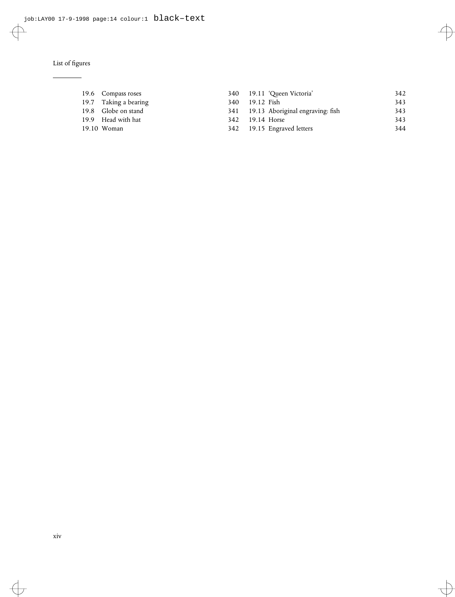#### List of figures

| 19.6 Compass roses    |     | 340 19.11 'Queen Victoria'           | 342 |
|-----------------------|-----|--------------------------------------|-----|
| 19.7 Taking a bearing | 340 | 19.12 Fish                           | 343 |
| 19.8 Globe on stand   |     | 341 19.13 Aboriginal engraving: fish | 343 |
| 19.9 Head with hat    | 342 | 19.14 Horse                          | 343 |
| 19.10 Woman           |     | 342 19.15 Engraved letters           | 344 |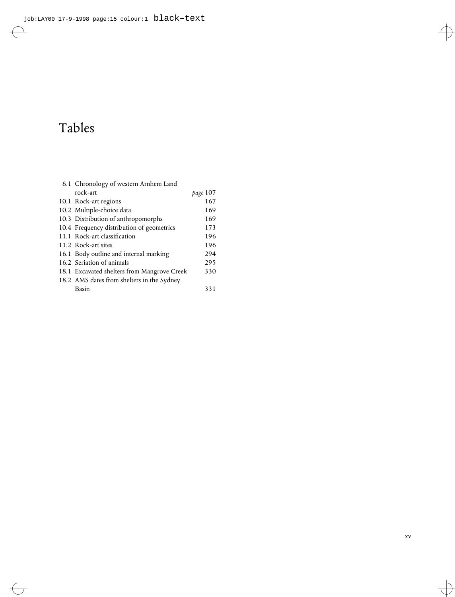# Tables

| 6.1 Chronology of western Arnhem Land       |          |  |  |
|---------------------------------------------|----------|--|--|
| rock-art                                    | page 107 |  |  |
| 10.1 Rock-art regions                       | 167      |  |  |
| 10.2 Multiple-choice data                   | 169      |  |  |
| 10.3 Distribution of anthropomorphs         | 169      |  |  |
| 10.4 Frequency distribution of geometrics   | 173      |  |  |
| 11.1 Rock-art classification                | 196      |  |  |
| 11.2 Rock-art sites                         | 196      |  |  |
| 16.1 Body outline and internal marking      | 294      |  |  |
| 16.2 Seriation of animals                   | 295      |  |  |
| 18.1 Excavated shelters from Mangrove Creek | 330      |  |  |
| 18.2 AMS dates from shelters in the Sydney  |          |  |  |
| Basin                                       | 331      |  |  |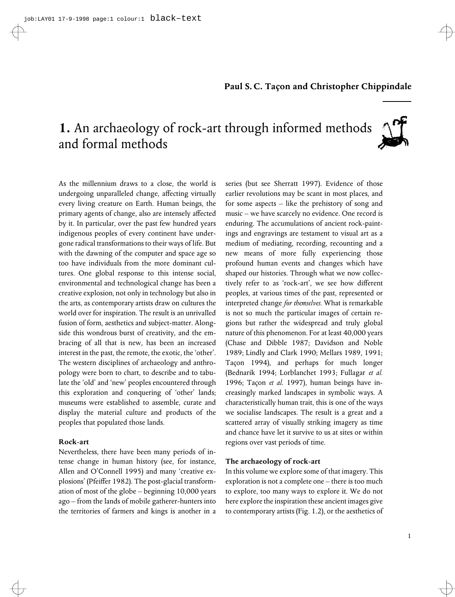### **1.** An archaeology of rock-art through informed methods and formal methods



As the millennium draws to a close, the world is undergoing unparalleled change, affecting virtually every living creature on Earth. Human beings, the primary agents of change, also are intensely affected by it. In particular, over the past few hundred years indigenous peoples of every continent have undergone radical transformations to their ways of life. But with the dawning of the computer and space age so too have individuals from the more dominant cultures. One global response to this intense social, environmental and technological change has been a creative explosion, not only in technology but also in the arts, as contemporary artists draw on cultures the world over for inspiration. The result is an unrivalled fusion of form, aesthetics and subject-matter. Alongside this wondrous burst of creativity, and the embracing of all that is new, has been an increased interest in the past, the remote, the exotic, the 'other'. The western disciplines of archaeology and anthropology were born to chart, to describe and to tabulate the 'old' and 'new' peoples encountered through this exploration and conquering of 'other' lands; museums were established to assemble, curate and display the material culture and products of the peoples that populated those lands.

#### **Rock-art**

Nevertheless, there have been many periods of intense change in human history (see, for instance, Allen and O'Connell 1995) and many 'creative explosions' (Pfeiffer 1982). The post-glacial transformation of most of the globe – beginning 10,000 years ago – from the lands of mobile gatherer-hunters into the territories of farmers and kings is another in a series (but see Sherratt 1997). Evidence of those earlier revolutions may be scant in most places, and for some aspects – like the prehistory of song and music – we have scarcely no evidence. One record is enduring. The accumulations of ancient rock-paintings and engravings are testament to visual art as a medium of mediating, recording, recounting and a new means of more fully experiencing those profound human events and changes which have shaped our histories. Through what we now collectively refer to as 'rock-art', we see how different peoples, at various times of the past, represented or interpreted change *for themselves.* What is remarkable is not so much the particular images of certain regions but rather the widespread and truly global nature of this phenomenon. For at least 40,000 years (Chase and Dibble 1987; Davidson and Noble 1989; Lindly and Clark 1990; Mellars 1989, 1991; Tacon 1994), and perhaps for much longer (Bednarik 1994; Lorblanchet 1993; Fullagar *et al.* 1996; Taçon et al. 1997), human beings have increasingly marked landscapes in symbolic ways. A characteristically human trait, this is one of the ways we socialise landscapes. The result is a great and a scattered array of visually striking imagery as time and chance have let it survive to us at sites or within regions over vast periods of time.

#### **The archaeology of rock-art**

In this volume we explore some of that imagery. This exploration is not a complete one – there is too much to explore, too many ways to explore it. We do not here explore the inspiration these ancient images give to contemporary artists (Fig. 1.2), or the aesthetics of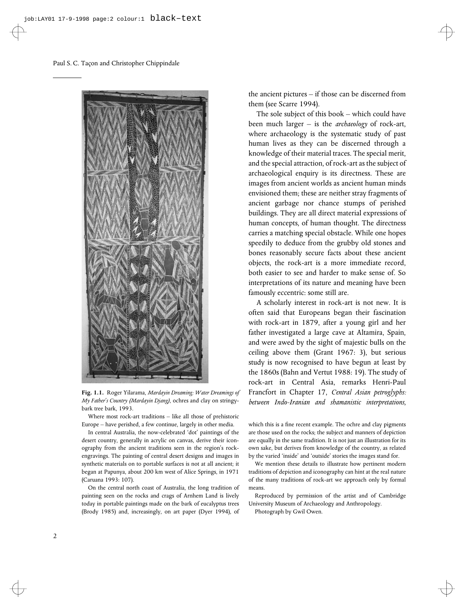

**Fig. 1.1.** Roger Yilarama, *Mardayin Dreaming: Water Dreamings of My Father's Country (Mardayin Djang)*, ochres and clay on stringybark tree bark, 1993.

Where most rock-art traditions – like all those of prehistoric Europe – have perished, a few continue, largely in other media.

In central Australia, the now-celebrated 'dot' paintings of the desert country, generally in acrylic on canvas, derive their iconography from the ancient traditions seen in the region's rockengravings. The painting of central desert designs and images in synthetic materials on to portable surfaces is not at all ancient; it began at Papunya, about 200 km west of Alice Springs, in 1971 (Caruana 1993: 107).

On the central north coast of Australia, the long tradition of painting seen on the rocks and crags of Arnhem Land is lively today in portable paintings made on the bark of eucalyptus trees (Brody 1985) and, increasingly, on art paper (Dyer 1994), of the ancient pictures – if those can be discerned from them (see Scarre 1994).

The sole subject of this book – which could have been much larger – is the *archaeology* of rock-art, where archaeology is the systematic study of past human lives as they can be discerned through a knowledge of their material traces. The special merit, and the special attraction, of rock-art as the subject of archaeological enquiry is its directness. These are images from ancient worlds as ancient human minds envisioned them; these are neither stray fragments of ancient garbage nor chance stumps of perished buildings. They are all direct material expressions of human concepts, of human thought. The directness carries a matching special obstacle. While one hopes speedily to deduce from the grubby old stones and bones reasonably secure facts about these ancient objects, the rock-art is a more immediate record, both easier to see and harder to make sense of. So interpretations of its nature and meaning have been famously eccentric: some still are.

A scholarly interest in rock-art is not new. It is often said that Europeans began their fascination with rock-art in 1879, after a young girl and her father investigated a large cave at Altamira, Spain, and were awed by the sight of majestic bulls on the ceiling above them (Grant 1967: 3), but serious study is now recognised to have begun at least by the 1860s (Bahn and Vertut 1988: 19). The study of rock-art in Central Asia, remarks Henri-Paul Francfort in Chapter 17, *Central Asian petroglyphs: between Indo-Iranian and shamanistic interpretations*,

which this is a fine recent example. The ochre and clay pigments are those used on the rocks; the subject and manners of depiction are equally in the same tradition. It is not just an illustration for its own sake, but derives from knowledge of the country, as related by the varied 'inside' and 'outside' stories the images stand for.

We mention these details to illustrate how pertinent modern traditions of depiction and iconography can hint at the real nature of the many traditions of rock-art we approach only by formal means.

Reproduced by permission of the artist and of Cambridge University Museum of Archaeology and Anthropology.

Photograph by Gwil Owen.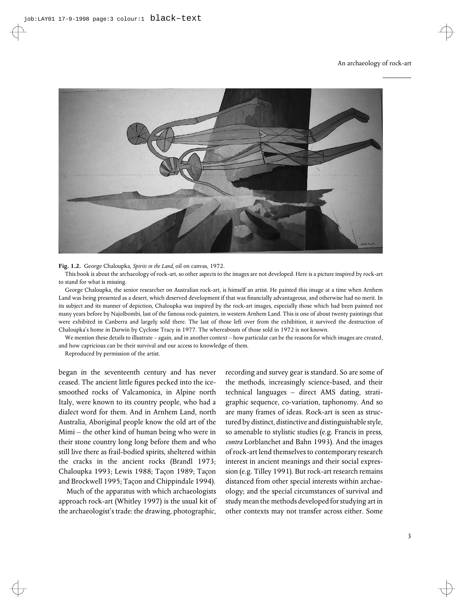

**Fig. 1.2.** George Chaloupka, *Spirits in the Land*, oil on canvas, 1972.

This book is about the archaeology of rock-art, so other aspects to the images are not developed. Here is a picture inspired by rock-art to stand for what is missing.

George Chaloupka, the senior researcher on Australian rock-art, is himself an artist. He painted this image at a time when Arnhem Land was being presented as a desert, which deserved development if that was financially advantageous, and otherwise had no merit. In its subject and its manner of depiction, Chaloupka was inspired by the rock-art images, especially those which had been painted not many years before by Najolbombi, last of the famous rock-painters, in western Arnhem Land. This is one of about twenty paintings that were exhibited in Canberra and largely sold there. The last of those left over from the exhibition, it survived the destruction of Chaloupka's home in Darwin by Cyclone Tracy in 1977. The whereabouts of those sold in 1972 is not known.

We mention these details to illustrate – again, and in another context – how particular can be the reasons for which images are created, and how capricious can be their survival and our access to knowledge of them.

Reproduced by permission of the artist.

began in the seventeenth century and has never ceased. The ancient little figures pecked into the icesmoothed rocks of Valcamonica, in Alpine north Italy, were known to its country people, who had a dialect word for them. And in Arnhem Land, north Australia, Aboriginal people know the old art of the Mimi – the other kind of human being who were in their stone country long long before them and who still live there as frail-bodied spirits, sheltered within the cracks in the ancient rocks (Brandl 1973; Chaloupka 1993; Lewis 1988; Taçon 1989; Taçon and Brockwell 1995; Taçon and Chippindale 1994).

Much of the apparatus with which archaeologists approach rock-art (Whitley 1997) is the usual kit of the archaeologist's trade: the drawing, photographic,

recording and survey gear is standard. So are some of the methods, increasingly science-based, and their technical languages – direct AMS dating, stratigraphic sequence, co-variation, taphonomy. And so are many frames of ideas. Rock-art is seen as structured by distinct, distinctive and distinguishable style, so amenable to stylistic studies (e.g. Francis in press, *contra* Lorblanchet and Bahn 1993). And the images of rock-art lend themselves to contemporary research interest in ancient meanings and their social expression (e.g. Tilley 1991). But rock-art research remains distanced from other special interests within archaeology; and the special circumstances of survival and study mean the methods developed for studying art in other contexts may not transfer across either. Some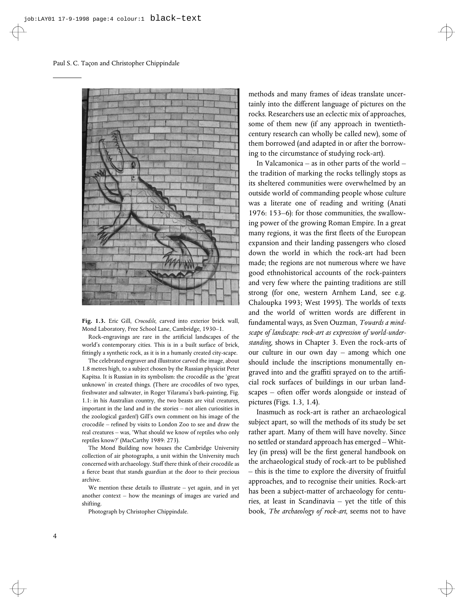

**Fig. 1.3.** Eric Gill, *Crocodile*, carved into exterior brick wall, Mond Laboratory, Free School Lane, Cambridge, 1930–1.

Rock-engravings are rare in the artificial landscapes of the world's contemporary cities. This is in a built surface of brick, fittingly a synthetic rock, as it is in a humanly created city-scape.

The celebrated engraver and illustrator carved the image, about 1.8 metres high, to a subject chosen by the Russian physicist Peter Kapitsa. It is Russian in its symbolism: the crocodile as the 'great unknown' in created things. (There are crocodiles of two types, freshwater and saltwater, in Roger Yilarama's bark-painting, Fig. 1.1: in his Australian country, the two beasts are vital creatures, important in the land and in the stories – not alien curiosities in the zoological garden!) Gill's own comment on his image of the crocodile – refined by visits to London Zoo to see and draw the real creatures – was, 'What should we know of reptiles who only reptiles know?' (MacCarthy 1989: 273).

The Mond Building now houses the Cambridge University collection of air photographs, a unit within the University much concerned with archaeology. Staff there think of their crocodile as a fierce beast that stands guardian at the door to their precious archive.

We mention these details to illustrate – yet again, and in yet another context – how the meanings of images are varied and shifting.

Photograph by Christopher Chippindale.

methods and many frames of ideas translate uncertainly into the different language of pictures on the rocks. Researchers use an eclectic mix of approaches, some of them new (if any approach in twentiethcentury research can wholly be called new), some of them borrowed (and adapted in or after the borrowing to the circumstance of studying rock-art).

In Valcamonica – as in other parts of the world – the tradition of marking the rocks tellingly stops as its sheltered communities were overwhelmed by an outside world of commanding people whose culture was a literate one of reading and writing (Anati 1976: 153–6): for those communities, the swallowing power of the growing Roman Empire. In a great many regions, it was the first fleets of the European expansion and their landing passengers who closed down the world in which the rock-art had been made; the regions are not numerous where we have good ethnohistorical accounts of the rock-painters and very few where the painting traditions are still strong (for one, western Arnhem Land, see e.g. Chaloupka 1993; West 1995). The worlds of texts and the world of written words are different in fundamental ways, as Sven Ouzman, *Towards a mindscape of landscape: rock-art as expression of world-understanding*, shows in Chapter 3. Even the rock-arts of our culture in our own day – among which one should include the inscriptions monumentally engraved into and the graffiti sprayed on to the artificial rock surfaces of buildings in our urban landscapes – often offer words alongside or instead of pictures (Figs. 1.3, 1.4).

Inasmuch as rock-art is rather an archaeological subject apart, so will the methods of its study be set rather apart. Many of them will have novelty. Since no settled or standard approach has emerged – Whitley (in press) will be the first general handbook on the archaeological study of rock-art to be published – this is the time to explore the diversity of fruitful approaches, and to recognise their unities. Rock-art has been a subject-matter of archaeology for centuries, at least in Scandinavia – yet the title of this book, *The archaeology of rock-art*, seems not to have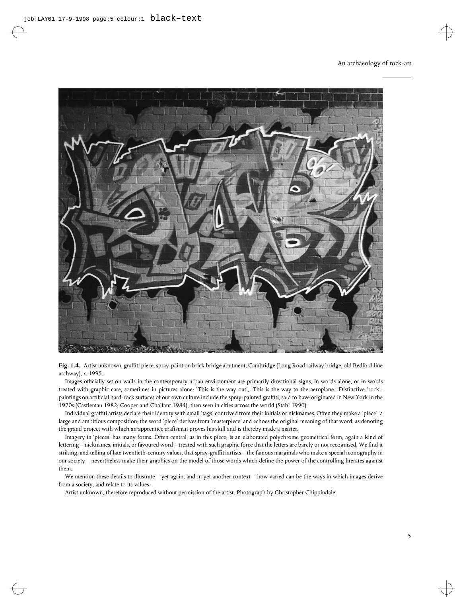



Images officially set on walls in the contemporary urban environment are primarily directional signs, in words alone, or in words treated with graphic care, sometimes in pictures alone: 'This is the way out', 'This is the way to the aeroplane.' Distinctive 'rock' paintings on artificial hard-rock surfaces of our own culture include the spray-painted graffiti, said to have originated in New York in the 1970s (Castleman 1982; Cooper and Chalfant 1984), then seen in cities across the world (Stahl 1990).

Individual graffiti artists declare their identity with small 'tags' contrived from their initials or nicknames. Often they make a 'piece', a large and ambitious composition; the word 'piece' derives from 'masterpiece' and echoes the original meaning of that word, as denoting the grand project with which an apprentice craftsman proves his skill and is thereby made a master.

Imagery in 'pieces' has many forms. Often central, as in this piece, is an elaborated polychrome geometrical form, again a kind of lettering – nicknames, initials, or favoured word – treated with such graphic force that the letters are barely or not recognised. We find it striking, and telling of late twentieth-century values, that spray-graffiti artists - the famous marginals who make a special iconography in our society – nevertheless make their graphics on the model of those words which define the power of the controlling literates against them.

We mention these details to illustrate – yet again, and in yet another context – how varied can be the ways in which images derive from a society, and relate to its values.

Artist unknown, therefore reproduced without permission of the artist. Photograph by Christopher Chippindale.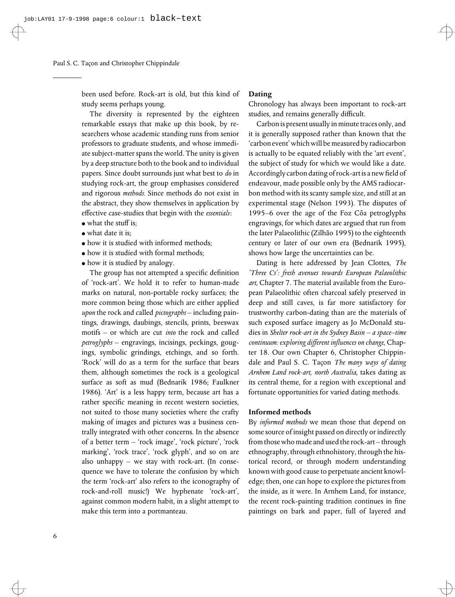been used before. Rock-art is old, but this kind of study seems perhaps young.

The diversity is represented by the eighteen remarkable essays that make up this book, by researchers whose academic standing runs from senior professors to graduate students, and whose immediate subject-matter spans the world. The unity is given by a deep structure both to the book and to individual papers. Since doubt surrounds just what best to *do* in studying rock-art, the group emphasises considered and rigorous *methods.* Since methods do not exist in the abstract, they show themselves in application by effective case-studies that begin with the *essentials*:

- $\bullet$  what the stuff is:
- $\bullet$  what date it is;
- $\bullet$  how it is studied with informed methods;
- $\bullet$  how it is studied with formal methods;
- how it is studied by analogy.

The group has not attempted a specific definition of 'rock-art'. We hold it to refer to human-made marks on natural, non-portable rocky surfaces; the more common being those which are either applied *upon* the rock and called *pictographs* – including paintings, drawings, daubings, stencils, prints, beeswax motifs – or which are cut *into* the rock and called *petroglyphs* – engravings, incisings, peckings, gougings, symbolic grindings, etchings, and so forth. 'Rock' will do as a term for the surface that bears them, although sometimes the rock is a geological surface as soft as mud (Bednarik 1986; Faulkner 1986). 'Art' is a less happy term, because art has a rather specific meaning in recent western societies, not suited to those many societies where the crafty making of images and pictures was a business centrally integrated with other concerns. In the absence of a better term – 'rock image', 'rock picture', 'rock marking', 'rock trace', 'rock glyph', and so on are also unhappy – we stay with rock-art. (In consequence we have to tolerate the confusion by which the term 'rock-art' also refers to the iconography of rock-and-roll music!) We hyphenate 'rock-art', against common modern habit, in a slight attempt to make this term into a portmanteau.

#### **Dating**

Chronology has always been important to rock-art studies, and remains generally difficult.

Carbon is present usually in minute traces only, and it is generally supposed rather than known that the 'carbon event'whichwill be measured by radiocarbon is actually to be equated reliably with the 'art event', the subject of study for which we would like a date. Accordingly carbon dating of rock-art is a new field of endeavour, made possible only by the AMS radiocarbon method with its scanty sample size, and still at an experimental stage (Nelson 1993). The disputes of 1995–6 over the age of the Foz Côa petroglyphs engravings, for which dates are argued that run from the later Palaeolithic (Zilhão 1995) to the eighteenth century or later of our own era (Bednarik 1995), shows how large the uncertainties can be.

Dating is here addressed by Jean Clottes, *The 'Three Cs': fresh avenues towards European Palaeolithic art*, Chapter 7. The material available from the European Palaeolithic often charcoal safely preserved in deep and still caves, is far more satisfactory for trustworthy carbon-dating than are the materials of such exposed surface imagery as Jo McDonald studies in *Shelter rock-art in the Sydney Basin – a space–time continuum: exploring different influences on change*, Chapter 18. Our own Chapter 6, Christopher Chippindale and Paul S. C. Taçon The many ways of dating *Arnhem Land rock-art, north Australia*, takes dating as its central theme, for a region with exceptional and fortunate opportunities for varied dating methods.

#### **Informed methods**

By *informed methods* we mean those that depend on some source of insight passed on directly or indirectly from those who made and used the rock-art – through ethnography, through ethnohistory, through the historical record, or through modern understanding known with good cause to perpetuate ancient knowledge; then, one can hope to explore the pictures from the inside, as it were. In Arnhem Land, for instance, the recent rock-painting tradition continues in fine paintings on bark and paper, full of layered and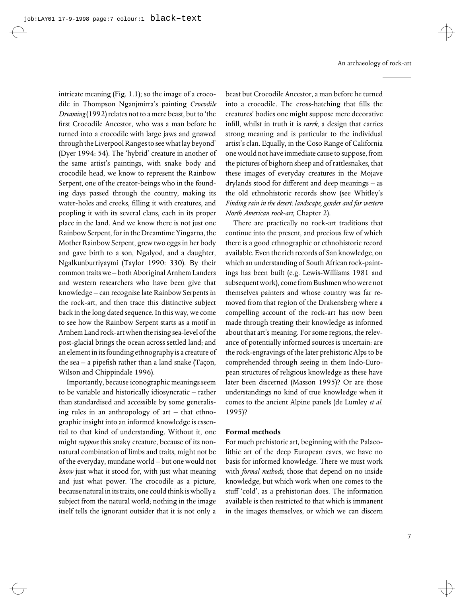intricate meaning (Fig. 1.1); so the image of a crocodile in Thompson Nganjmirra's painting *Crocodile Dreaming*(1992) relates not to a mere beast, but to 'the first Crocodile Ancestor, who was a man before he turned into a crocodile with large jaws and gnawed through the Liverpool Ranges to see what lay beyond' (Dyer 1994: 54). The 'hybrid' creature in another of the same artist's paintings, with snake body and crocodile head, we know to represent the Rainbow Serpent, one of the creator-beings who in the founding days passed through the country, making its water-holes and creeks, filling it with creatures, and peopling it with its several clans, each in its proper place in the land. And we know there is not just one Rainbow Serpent, for in the Dreamtime Yingarna, the Mother Rainbow Serpent, grew two eggs in her body and gave birth to a son, Ngalyod, and a daughter, Ngalkunburriyaymi (Taylor 1990: 330). By their common traits we – both Aboriginal Arnhem Landers and western researchers who have been give that knowledge – can recognise late Rainbow Serpents in the rock-art, and then trace this distinctive subject back in the long dated sequence. In this way, we come to see how the Rainbow Serpent starts as a motif in Arnhem Land rock-art when the rising sea-level of the post-glacial brings the ocean across settled land; and an element in its founding ethnography is a creature of the sea  $-$  a pipefish rather than a land snake (Tacon, Wilson and Chippindale 1996).

Importantly, because iconographic meanings seem to be variable and historically idiosyncratic – rather than standardised and accessible by some generalising rules in an anthropology of art – that ethnographic insight into an informed knowledge is essential to that kind of understanding. Without it, one might *suppose* this snaky creature, because of its nonnatural combination of limbs and traits, might not be of the everyday, mundane world – but one would not *know* just what it stood for, with just what meaning and just what power. The crocodile as a picture, because natural in its traits, one could think is wholly a subject from the natural world; nothing in the image itself tells the ignorant outsider that it is not only a beast but Crocodile Ancestor, a man before he turned into a crocodile. The cross-hatching that fills the creatures' bodies one might suppose mere decorative infill, whilst in truth it is *rarrk*, a design that carries strong meaning and is particular to the individual artist's clan. Equally, in the Coso Range of California one would not have immediate cause to suppose, from the pictures of bighorn sheep and of rattlesnakes, that these images of everyday creatures in the Mojave drylands stood for different and deep meanings  $-$  as the old ethnohistoric records show (see Whitley's *Finding rain in the desert: landscape, gender and far western North American rock-art*, Chapter 2).

There are practically no rock-art traditions that continue into the present, and precious few of which there is a good ethnographic or ethnohistoric record available. Even the rich records of San knowledge, on which an understanding of South African rock-paintings has been built (e.g. Lewis-Williams 1981 and subsequent work), come from Bushmen who were not themselves painters and whose country was far removed from that region of the Drakensberg where a compelling account of the rock-art has now been made through treating their knowledge as informed about that art's meaning. For some regions, the relevance of potentially informed sources is uncertain: are the rock-engravings of the later prehistoric Alps to be comprehended through seeing in them Indo-European structures of religious knowledge as these have later been discerned (Masson 1995)? Or are those understandings no kind of true knowledge when it comes to the ancient Alpine panels (de Lumley *et al.* 1995)?

#### **Formal methods**

For much prehistoric art, beginning with the Palaeolithic art of the deep European caves, we have no basis for informed knowledge. There we must work with *formal methods*, those that depend on no inside knowledge, but which work when one comes to the stuff 'cold', as a prehistorian does. The information available is then restricted to that which is immanent in the images themselves, or which we can discern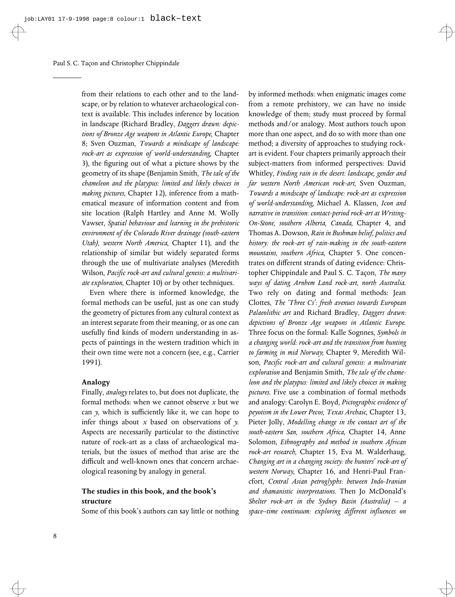from their relations to each other and to the landscape, or by relation to whatever archaeological context is available. This includes inference by location in landscape (Richard Bradley, *Daggers drawn: depictions of Bronze Age weapons in Atlantic Europe*, Chapter 8; Sven Ouzman, *Towards a mindscape of landscape: rock-art as expression of world-understanding*, Chapter 3), the figuring out of what a picture shows by the geometry of its shape (Benjamin Smith, *The tale of the chameleon and the platypus: limited and likely choices in making pictures*, Chapter 12), inference from a mathematical measure of information content and from site location (Ralph Hartley and Anne M. Wolly Vawser, *Spatial behaviour and learning in the prehistoric environment of the Colorado River drainage (south-eastern Utah), western North America*, Chapter 11), and the relationship of similar but widely separated forms through the use of multivariate analyses (Meredith Wilson, Pacific rock-art and cultural genesis: a multivari*ate exploration*, Chapter 10) or by other techniques.

Even where there is informed knowledge, the formal methods can be useful, just as one can study the geometry of pictures from any cultural context as an interest separate from their meaning, or as one can usefully find kinds of modern understanding in aspects of paintings in the western tradition which in their own time were not a concern (see, e.g., Carrier 1991).

#### **Analogy**

Finally, *analogy* relates to, but does not duplicate, the formal methods: when we cannot observe *x* but we can *y*, which is sufficiently like it, we can hope to infer things about *x* based on observations of *y*. Aspects are necessarily particular to the distinctive nature of rock-art as a class of archaeological materials, but the issues of method that arise are the difficult and well-known ones that concern archaeological reasoning by analogy in general.

#### **The studies in this book, and the book's structure**

Some of this book's authors can say little or nothing

by informed methods: when enigmatic images come from a remote prehistory, we can have no inside knowledge of them; study must proceed by formal methods and/or analogy. Most authors touch upon more than one aspect, and do so with more than one method; a diversity of approaches to studying rockart is evident. Four chapters primarily approach their subject-matters from informed perspectives: David Whitley, *Finding rain in the desert: landscape, gender and far western North American rock-art*, Sven Ouzman, *Towards a mindscape of landscape: rock-art as expression of world-understanding*, Michael A. Klassen, *Icon and narrative in transition: contact-period rock-art at Writing-On-Stone, southern Alberta, Canada*, Chapter 4, and Thomas A. Dowson, *Rain in Bushman belief, politics and history: the rock-art of rain-making in the south-eastern mountains, southern Africa*, Chapter 5. One concentrates on different strands of dating evidence: Christopher Chippindale and Paul S. C. Taçon, The many *ways of dating Arnhem Land rock-art, north Australia*. Two rely on dating and formal methods: Jean Clottes, *The 'Three Cs': fresh avenues towards European Palaeolithic art* and Richard Bradley, *Daggers drawn: depictions of Bronze Age weapons in Atlantic Europe*. Three focus on the formal: Kalle Sognnes, *Symbols in a changing world: rock-art and the transition from hunting to farming in mid Norway*; Chapter 9, Meredith Wilson, Pacific rock-art and cultural genesis: a multivariate *exploration* and Benjamin Smith, *The tale of the chameleon and the platypus: limited and likely choices in making pictures*. Five use a combination of formal methods and analogy: Carolyn E. Boyd, *Pictographic evidence of peyotism in the Lower Pecos, Texas Archaic*, Chapter 13, Pieter Jolly, *Modelling change in the contact art of the south-eastern San, southern Africa*, Chapter 14, Anne Solomon, *Ethnography and method in southern African rock-art research*, Chapter 15, Eva M. Walderhaug, *Changing art in a changing society: the hunters' rock-art of western Norway*, Chapter 16, and Henri-Paul Francfort, *Central Asian petroglyphs: between Indo-Iranian and shamanistic interpretations*. Then Jo McDonald's *Shelter rock-art in the Sydney Basin (Australia) – a space–time continuum: exploring diVerent inXuences on*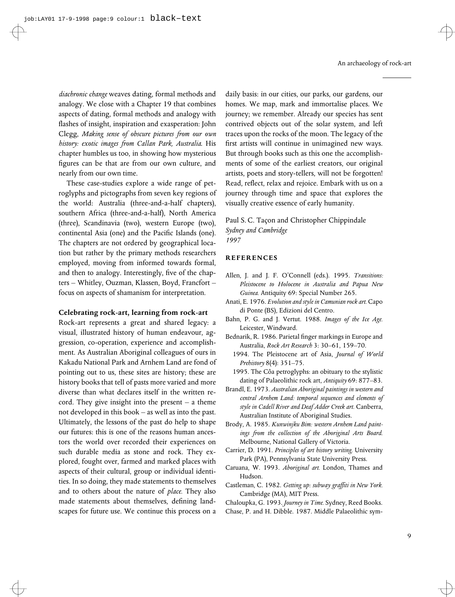*diachronic change* weaves dating, formal methods and analogy. We close with a Chapter 19 that combines aspects of dating, formal methods and analogy with flashes of insight, inspiration and exasperation: John Clegg, *Making sense of obscure pictures from our own history: exotic images from Callan Park, Australia*. His chapter humbles us too, in showing how mysterious figures can be that are from our own culture, and nearly from our own time.

These case-studies explore a wide range of petroglyphs and pictographs from seven key regions of the world: Australia (three-and-a-half chapters), southern Africa (three-and-a-half), North America (three), Scandinavia (two), western Europe (two), continental Asia (one) and the Pacific Islands (one). The chapters are not ordered by geographical location but rather by the primary methods researchers employed, moving from informed towards formal, and then to analogy. Interestingly, five of the chapters – Whitley, Ouzman, Klassen, Boyd, Francfort – focus on aspects of shamanism for interpretation.

#### **Celebrating rock-art, learning from rock-art**

Rock-art represents a great and shared legacy: a visual, illustrated history of human endeavour, aggression, co-operation, experience and accomplishment. As Australian Aboriginal colleagues of ours in Kakadu National Park and Arnhem Land are fond of pointing out to us, these sites are history; these are history books that tell of pasts more varied and more diverse than what declares itself in the written record. They give insight into the present – a theme not developed in this book – as well as into the past. Ultimately, the lessons of the past do help to shape our futures: this is one of the reasons human ancestors the world over recorded their experiences on such durable media as stone and rock. They explored, fought over, farmed and marked places with aspects of their cultural, group or individual identities. In so doing, they made statements to themselves and to others about the nature of *place.* They also made statements about themselves, defining landscapes for future use. We continue this process on a

daily basis: in our cities, our parks, our gardens, our homes. We map, mark and immortalise places. We journey; we remember. Already our species has sent contrived objects out of the solar system, and left traces upon the rocks of the moon. The legacy of the first artists will continue in unimagined new ways. But through books such as this one the accomplishments of some of the earliest creators, our original artists, poets and story-tellers, will not be forgotten! Read, reflect, relax and rejoice. Embark with us on a journey through time and space that explores the visually creative essence of early humanity.

Paul S. C. Taçon and Christopher Chippindale *Sydney and Cambridge 1997*

#### **REFERENCES**

- Allen, J. and J. F. O'Connell (eds.). 1995. *Transitions: Pleistocene to Holocene in Australia and Papua New Guinea.* Antiquity 69: Special Number 265.
- Anati, E. 1976. *Evolution and style in Camunian rock art.* Capo di Ponte (BS), Edizioni del Centro.
- Bahn, P. G. and J. Vertut. 1988. *Images of the Ice Age.* Leicester, Windward.
- Bednarik, R. 1986. Parietal finger markings in Europe and Australia, *Rock Art Research* 3: 30–61, 159–70.
	- 1994. The Pleistocene art of Asia, *Journal of World Prehistory* 8(4): 351–75.
	- 1995. The Côa petroglyphs: an obituary to the stylistic dating of Palaeolithic rock art, *Antiquity* 69: 877–83.
- Brandl, E. 1973. *Australian Aboriginal paintings in western and central Arnhem Land: temporal sequences and elements of style in Cadell River and Deaf Adder Creek art.* Canberra, Australian Institute of Aboriginal Studies.
- Brody, A. 1985. *Kunwinjku Bim: western Arnhem Land paintings from the collection of the Aboriginal Arts Board.* Melbourne, National Gallery of Victoria.
- Carrier, D. 1991. *Principles of art history writing.* University Park (PA), Pennsylvania State University Press.
- Caruana, W. 1993. *Aboriginal art.* London, Thames and Hudson.
- Castleman, C. 1982. *Getting up: subway graYti in New York.* Cambridge (MA), MIT Press.
- Chaloupka, G. 1993. *Journey in Time.* Sydney, Reed Books. Chase, P. and H. Dibble. 1987. Middle Palaeolithic sym-